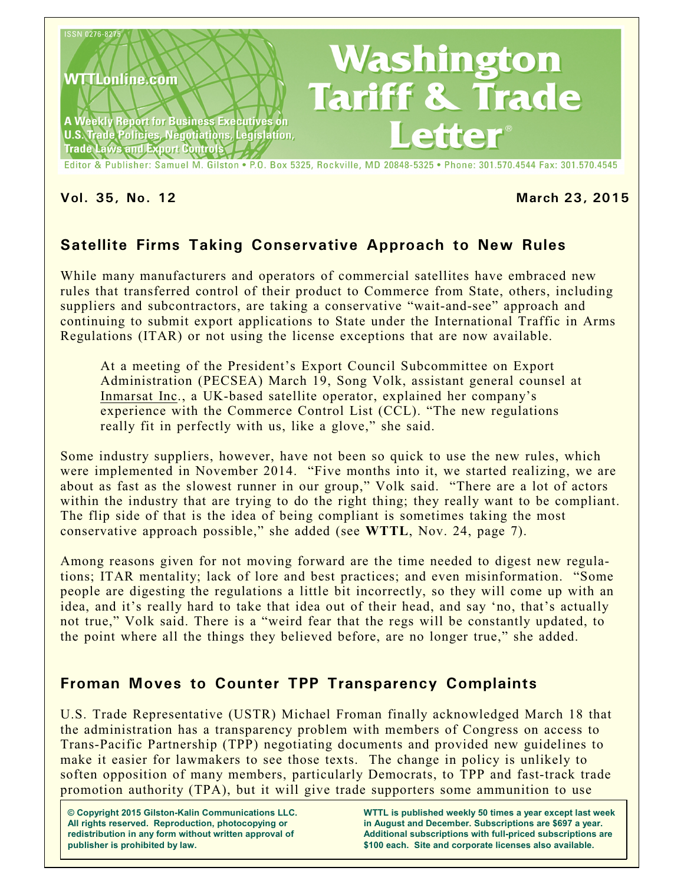

Editor & Publisher: Samuel M. Gilston . P.O. Box 5325, Rockville, MD 20848-5325 . Phone: 301.570.4544 Fax: 301.570.4545

#### **Vol. 35, No. 12 March 23, 2015**

# **Satellite Firms Taking Conservative Approach to New Rules**

While many manufacturers and operators of commercial satellites have embraced new rules that transferred control of their product to Commerce from State, others, including suppliers and subcontractors, are taking a conservative "wait-and-see" approach and continuing to submit export applications to State under the International Traffic in Arms Regulations (ITAR) or not using the license exceptions that are now available.

At a meeting of the President's Export Council Subcommittee on Export Administration (PECSEA) March 19, Song Volk, assistant general counsel at Inmarsat Inc., a UK-based satellite operator, explained her company's experience with the Commerce Control List (CCL). "The new regulations really fit in perfectly with us, like a glove," she said.

Some industry suppliers, however, have not been so quick to use the new rules, which were implemented in November 2014. "Five months into it, we started realizing, we are about as fast as the slowest runner in our group," Volk said. "There are a lot of actors within the industry that are trying to do the right thing; they really want to be compliant. The flip side of that is the idea of being compliant is sometimes taking the most conservative approach possible," she added (see **WTTL**, Nov. 24, page 7).

Among reasons given for not moving forward are the time needed to digest new regulations; ITAR mentality; lack of lore and best practices; and even misinformation. "Some people are digesting the regulations a little bit incorrectly, so they will come up with an idea, and it's really hard to take that idea out of their head, and say 'no, that's actually not true," Volk said. There is a "weird fear that the regs will be constantly updated, to the point where all the things they believed before, are no longer true," she added.

## **Froman Moves to Counter TPP Transparency Complaints**

U.S. Trade Representative (USTR) Michael Froman finally acknowledged March 18 that the administration has a transparency problem with members of Congress on access to Trans-Pacific Partnership (TPP) negotiating documents and provided new guidelines to make it easier for lawmakers to see those texts. The change in policy is unlikely to soften opposition of many members, particularly Democrats, to TPP and fast-track trade promotion authority (TPA), but it will give trade supporters some ammunition to use

**© Copyright 2015 Gilston-Kalin Communications LLC. All rights reserved. Reproduction, photocopying or redistribution in any form without written approval of publisher is prohibited by law.** 

**WTTL is published weekly 50 times a year except last week in August and December. Subscriptions are \$697 a year. Additional subscriptions with full-priced subscriptions are \$100 each. Site and corporate licenses also available.**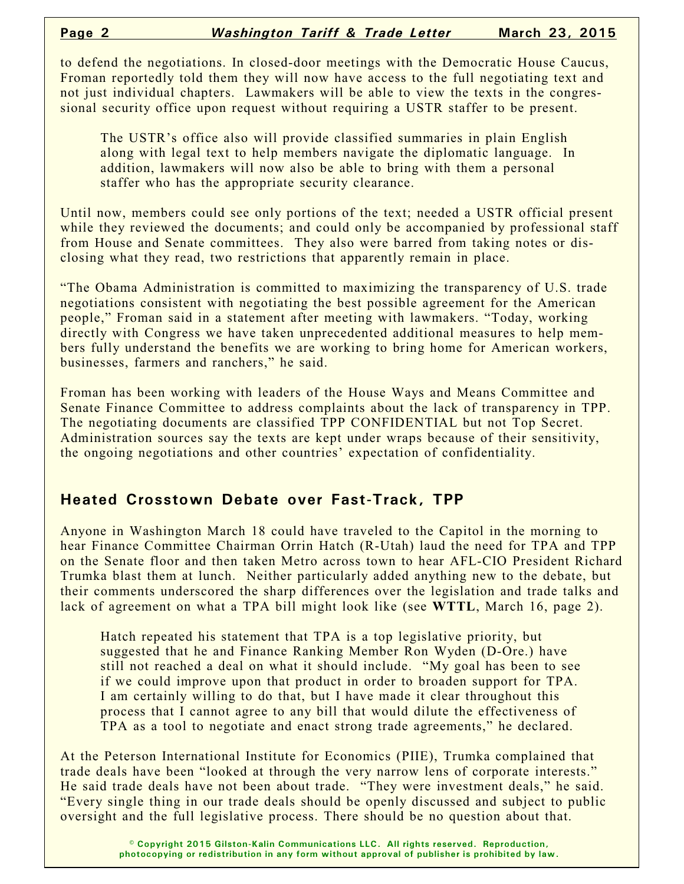to defend the negotiations. In closed-door meetings with the Democratic House Caucus, Froman reportedly told them they will now have access to the full negotiating text and not just individual chapters. Lawmakers will be able to view the texts in the congressional security office upon request without requiring a USTR staffer to be present.

The USTR's office also will provide classified summaries in plain English along with legal text to help members navigate the diplomatic language. In addition, lawmakers will now also be able to bring with them a personal staffer who has the appropriate security clearance.

Until now, members could see only portions of the text; needed a USTR official present while they reviewed the documents; and could only be accompanied by professional staff from House and Senate committees. They also were barred from taking notes or disclosing what they read, two restrictions that apparently remain in place.

"The Obama Administration is committed to maximizing the transparency of U.S. trade negotiations consistent with negotiating the best possible agreement for the American people," Froman said in a statement after meeting with lawmakers. "Today, working directly with Congress we have taken unprecedented additional measures to help members fully understand the benefits we are working to bring home for American workers, businesses, farmers and ranchers," he said.

Froman has been working with leaders of the House Ways and Means Committee and Senate Finance Committee to address complaints about the lack of transparency in TPP. The negotiating documents are classified TPP CONFIDENTIAL but not Top Secret. Administration sources say the texts are kept under wraps because of their sensitivity, the ongoing negotiations and other countries' expectation of confidentiality.

## **Heated Crosstown Debate over Fast-Track, TPP**

Anyone in Washington March 18 could have traveled to the Capitol in the morning to hear Finance Committee Chairman Orrin Hatch (R-Utah) laud the need for TPA and TPP on the Senate floor and then taken Metro across town to hear AFL-CIO President Richard Trumka blast them at lunch. Neither particularly added anything new to the debate, but their comments underscored the sharp differences over the legislation and trade talks and lack of agreement on what a TPA bill might look like (see **WTTL**, March 16, page 2).

Hatch repeated his statement that TPA is a top legislative priority, but suggested that he and Finance Ranking Member Ron Wyden (D-Ore.) have still not reached a deal on what it should include. "My goal has been to see if we could improve upon that product in order to broaden support for TPA. I am certainly willing to do that, but I have made it clear throughout this process that I cannot agree to any bill that would dilute the effectiveness of TPA as a tool to negotiate and enact strong trade agreements," he declared.

At the Peterson International Institute for Economics (PIIE), Trumka complained that trade deals have been "looked at through the very narrow lens of corporate interests." He said trade deals have not been about trade. "They were investment deals," he said. "Every single thing in our trade deals should be openly discussed and subject to public oversight and the full legislative process. There should be no question about that.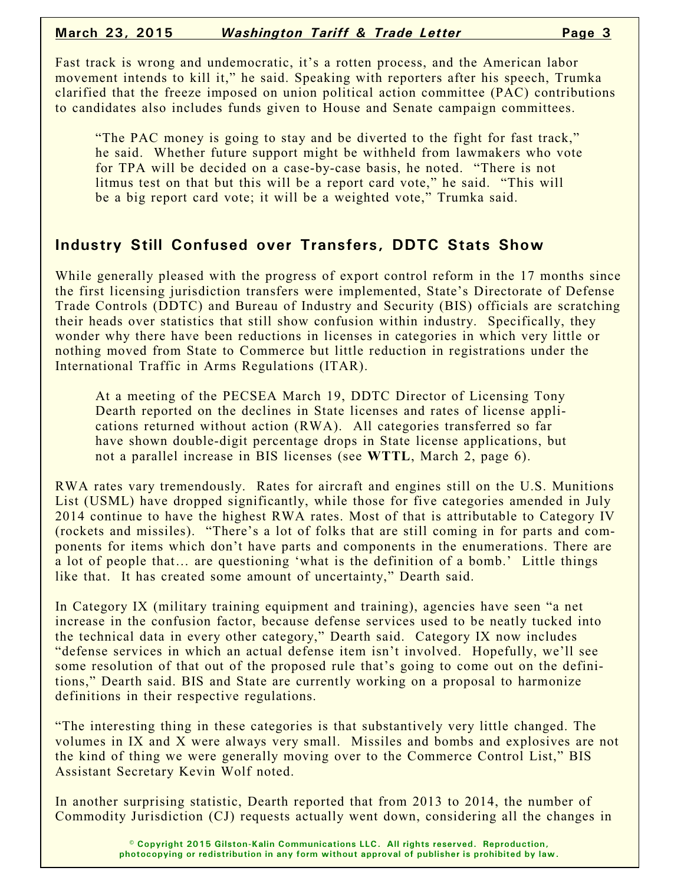Fast track is wrong and undemocratic, it's a rotten process, and the American labor movement intends to kill it," he said. Speaking with reporters after his speech, Trumka clarified that the freeze imposed on union political action committee (PAC) contributions to candidates also includes funds given to House and Senate campaign committees.

"The PAC money is going to stay and be diverted to the fight for fast track," he said. Whether future support might be withheld from lawmakers who vote for TPA will be decided on a case-by-case basis, he noted. "There is not litmus test on that but this will be a report card vote," he said. "This will be a big report card vote; it will be a weighted vote," Trumka said.

## **Industry Still Confused over Transfers, DDTC Stats Show**

While generally pleased with the progress of export control reform in the 17 months since the first licensing jurisdiction transfers were implemented, State's Directorate of Defense Trade Controls (DDTC) and Bureau of Industry and Security (BIS) officials are scratching their heads over statistics that still show confusion within industry. Specifically, they wonder why there have been reductions in licenses in categories in which very little or nothing moved from State to Commerce but little reduction in registrations under the International Traffic in Arms Regulations (ITAR).

At a meeting of the PECSEA March 19, DDTC Director of Licensing Tony Dearth reported on the declines in State licenses and rates of license applications returned without action (RWA). All categories transferred so far have shown double-digit percentage drops in State license applications, but not a parallel increase in BIS licenses (see **WTTL**, March 2, page 6).

RWA rates vary tremendously. Rates for aircraft and engines still on the U.S. Munitions List (USML) have dropped significantly, while those for five categories amended in July 2014 continue to have the highest RWA rates. Most of that is attributable to Category IV (rockets and missiles). "There's a lot of folks that are still coming in for parts and components for items which don't have parts and components in the enumerations. There are a lot of people that… are questioning 'what is the definition of a bomb.' Little things like that. It has created some amount of uncertainty," Dearth said.

In Category IX (military training equipment and training), agencies have seen "a net increase in the confusion factor, because defense services used to be neatly tucked into the technical data in every other category," Dearth said. Category IX now includes "defense services in which an actual defense item isn't involved. Hopefully, we'll see some resolution of that out of the proposed rule that's going to come out on the definitions," Dearth said. BIS and State are currently working on a proposal to harmonize definitions in their respective regulations.

"The interesting thing in these categories is that substantively very little changed. The volumes in IX and X were always very small. Missiles and bombs and explosives are not the kind of thing we were generally moving over to the Commerce Control List," BIS Assistant Secretary Kevin Wolf noted.

In another surprising statistic, Dearth reported that from 2013 to 2014, the number of Commodity Jurisdiction (CJ) requests actually went down, considering all the changes in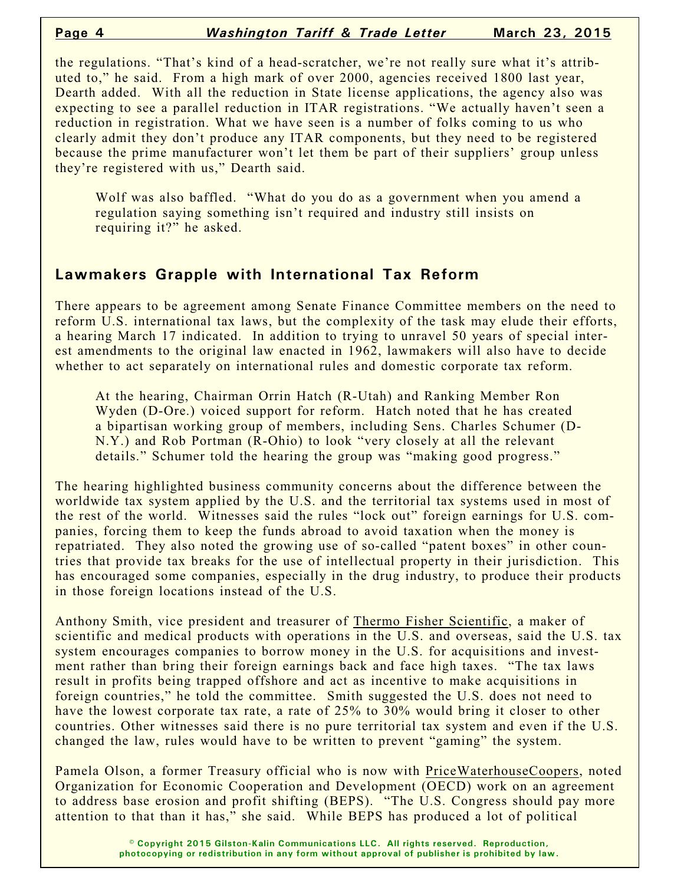the regulations. "That's kind of a head-scratcher, we're not really sure what it's attributed to," he said. From a high mark of over 2000, agencies received 1800 last year, Dearth added. With all the reduction in State license applications, the agency also was expecting to see a parallel reduction in ITAR registrations. "We actually haven't seen a reduction in registration. What we have seen is a number of folks coming to us who clearly admit they don't produce any ITAR components, but they need to be registered because the prime manufacturer won't let them be part of their suppliers' group unless they're registered with us," Dearth said.

Wolf was also baffled. "What do you do as a government when you amend a regulation saying something isn't required and industry still insists on requiring it?" he asked.

## **Lawmakers Grapple with International Tax Reform**

There appears to be agreement among Senate Finance Committee members on the need to reform U.S. international tax laws, but the complexity of the task may elude their efforts, a hearing March 17 indicated. In addition to trying to unravel 50 years of special interest amendments to the original law enacted in 1962, lawmakers will also have to decide whether to act separately on international rules and domestic corporate tax reform.

At the hearing, Chairman Orrin Hatch (R-Utah) and Ranking Member Ron Wyden (D-Ore.) voiced support for reform. Hatch noted that he has created a bipartisan working group of members, including Sens. Charles Schumer (D-N.Y.) and Rob Portman (R-Ohio) to look "very closely at all the relevant details." Schumer told the hearing the group was "making good progress."

The hearing highlighted business community concerns about the difference between the worldwide tax system applied by the U.S. and the territorial tax systems used in most of the rest of the world. Witnesses said the rules "lock out" foreign earnings for U.S. companies, forcing them to keep the funds abroad to avoid taxation when the money is repatriated. They also noted the growing use of so-called "patent boxes" in other countries that provide tax breaks for the use of intellectual property in their jurisdiction. This has encouraged some companies, especially in the drug industry, to produce their products in those foreign locations instead of the U.S.

Anthony Smith, vice president and treasurer of Thermo Fisher Scientific, a maker of scientific and medical products with operations in the U.S. and overseas, said the U.S. tax system encourages companies to borrow money in the U.S. for acquisitions and investment rather than bring their foreign earnings back and face high taxes. "The tax laws result in profits being trapped offshore and act as incentive to make acquisitions in foreign countries," he told the committee. Smith suggested the U.S. does not need to have the lowest corporate tax rate, a rate of 25% to 30% would bring it closer to other countries. Other witnesses said there is no pure territorial tax system and even if the U.S. changed the law, rules would have to be written to prevent "gaming" the system.

Pamela Olson, a former Treasury official who is now with PriceWaterhouseCoopers, noted Organization for Economic Cooperation and Development (OECD) work on an agreement to address base erosion and profit shifting (BEPS). "The U.S. Congress should pay more attention to that than it has," she said. While BEPS has produced a lot of political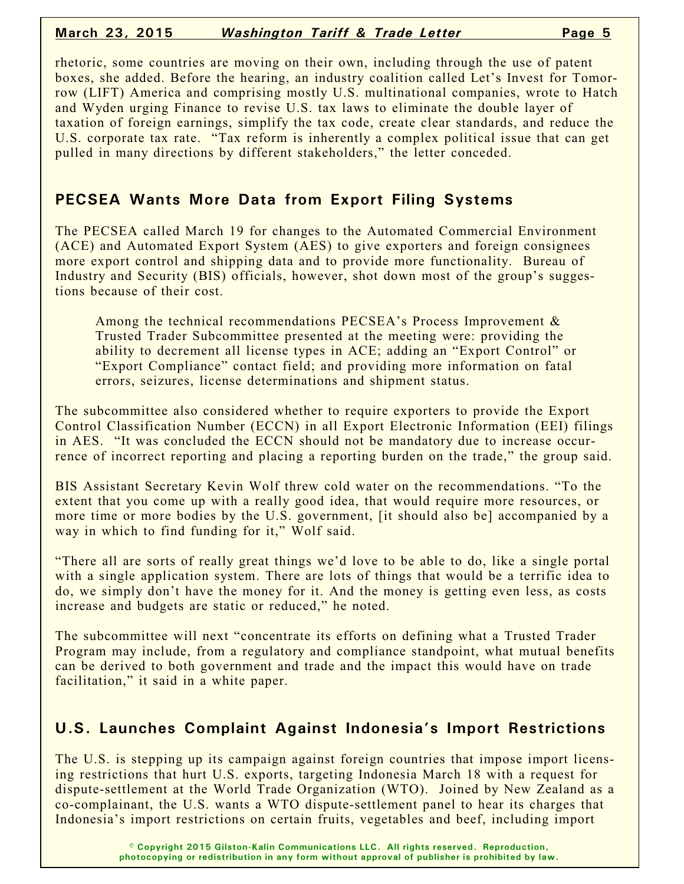### **March 23, 2015** *Washington Tariff & Trade Letter* **Page 5**

rhetoric, some countries are moving on their own, including through the use of patent boxes, she added. Before the hearing, an industry coalition called Let's Invest for Tomorrow (LIFT) America and comprising mostly U.S. multinational companies, wrote to Hatch and Wyden urging Finance to revise U.S. tax laws to eliminate the double layer of taxation of foreign earnings, simplify the tax code, create clear standards, and reduce the U.S. corporate tax rate. "Tax reform is inherently a complex political issue that can get pulled in many directions by different stakeholders," the letter conceded.

## **PECSEA Wants More Data from Export Filing Systems**

The PECSEA called March 19 for changes to the Automated Commercial Environment (ACE) and Automated Export System (AES) to give exporters and foreign consignees more export control and shipping data and to provide more functionality. Bureau of Industry and Security (BIS) officials, however, shot down most of the group's suggestions because of their cost.

Among the technical recommendations PECSEA's Process Improvement & Trusted Trader Subcommittee presented at the meeting were: providing the ability to decrement all license types in ACE; adding an "Export Control" or "Export Compliance" contact field; and providing more information on fatal errors, seizures, license determinations and shipment status.

The subcommittee also considered whether to require exporters to provide the Export Control Classification Number (ECCN) in all Export Electronic Information (EEI) filings in AES. "It was concluded the ECCN should not be mandatory due to increase occurrence of incorrect reporting and placing a reporting burden on the trade," the group said.

BIS Assistant Secretary Kevin Wolf threw cold water on the recommendations. "To the extent that you come up with a really good idea, that would require more resources, or more time or more bodies by the U.S. government, [it should also be] accompanied by a way in which to find funding for it," Wolf said.

"There all are sorts of really great things we'd love to be able to do, like a single portal with a single application system. There are lots of things that would be a terrific idea to do, we simply don't have the money for it. And the money is getting even less, as costs increase and budgets are static or reduced," he noted.

The subcommittee will next "concentrate its efforts on defining what a Trusted Trader Program may include, from a regulatory and compliance standpoint, what mutual benefits can be derived to both government and trade and the impact this would have on trade facilitation," it said in a white paper.

# **U.S. Launches Complaint Against Indonesia's Import Restrictions**

The U.S. is stepping up its campaign against foreign countries that impose import licensing restrictions that hurt U.S. exports, targeting Indonesia March 18 with a request for dispute-settlement at the World Trade Organization (WTO). Joined by New Zealand as a co-complainant, the U.S. wants a WTO dispute-settlement panel to hear its charges that Indonesia's import restrictions on certain fruits, vegetables and beef, including import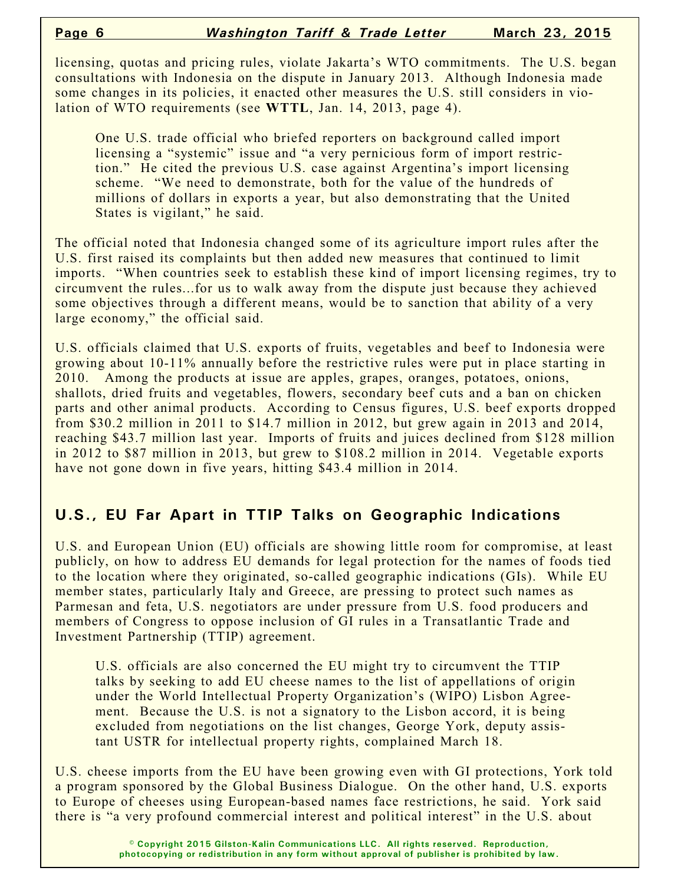licensing, quotas and pricing rules, violate Jakarta's WTO commitments. The U.S. began consultations with Indonesia on the dispute in January 2013. Although Indonesia made some changes in its policies, it enacted other measures the U.S. still considers in violation of WTO requirements (see **WTTL**, Jan. 14, 2013, page 4).

One U.S. trade official who briefed reporters on background called import licensing a "systemic" issue and "a very pernicious form of import restriction." He cited the previous U.S. case against Argentina's import licensing scheme. "We need to demonstrate, both for the value of the hundreds of millions of dollars in exports a year, but also demonstrating that the United States is vigilant," he said.

The official noted that Indonesia changed some of its agriculture import rules after the U.S. first raised its complaints but then added new measures that continued to limit imports. "When countries seek to establish these kind of import licensing regimes, try to circumvent the rules...for us to walk away from the dispute just because they achieved some objectives through a different means, would be to sanction that ability of a very large economy," the official said.

U.S. officials claimed that U.S. exports of fruits, vegetables and beef to Indonesia were growing about 10-11% annually before the restrictive rules were put in place starting in 2010. Among the products at issue are apples, grapes, oranges, potatoes, onions, shallots, dried fruits and vegetables, flowers, secondary beef cuts and a ban on chicken parts and other animal products. According to Census figures, U.S. beef exports dropped from \$30.2 million in 2011 to \$14.7 million in 2012, but grew again in 2013 and 2014, reaching \$43.7 million last year. Imports of fruits and juices declined from \$128 million in 2012 to \$87 million in 2013, but grew to \$108.2 million in 2014. Vegetable exports have not gone down in five years, hitting \$43.4 million in 2014.

# **U.S., EU Far Apart in TTIP Talks on Geographic Indications**

U.S. and European Union (EU) officials are showing little room for compromise, at least publicly, on how to address EU demands for legal protection for the names of foods tied to the location where they originated, so-called geographic indications (GIs). While EU member states, particularly Italy and Greece, are pressing to protect such names as Parmesan and feta, U.S. negotiators are under pressure from U.S. food producers and members of Congress to oppose inclusion of GI rules in a Transatlantic Trade and Investment Partnership (TTIP) agreement.

U.S. officials are also concerned the EU might try to circumvent the TTIP talks by seeking to add EU cheese names to the list of appellations of origin under the World Intellectual Property Organization's (WIPO) Lisbon Agreement. Because the U.S. is not a signatory to the Lisbon accord, it is being excluded from negotiations on the list changes, George York, deputy assistant USTR for intellectual property rights, complained March 18.

U.S. cheese imports from the EU have been growing even with GI protections, York told a program sponsored by the Global Business Dialogue. On the other hand, U.S. exports to Europe of cheeses using European-based names face restrictions, he said. York said there is "a very profound commercial interest and political interest" in the U.S. about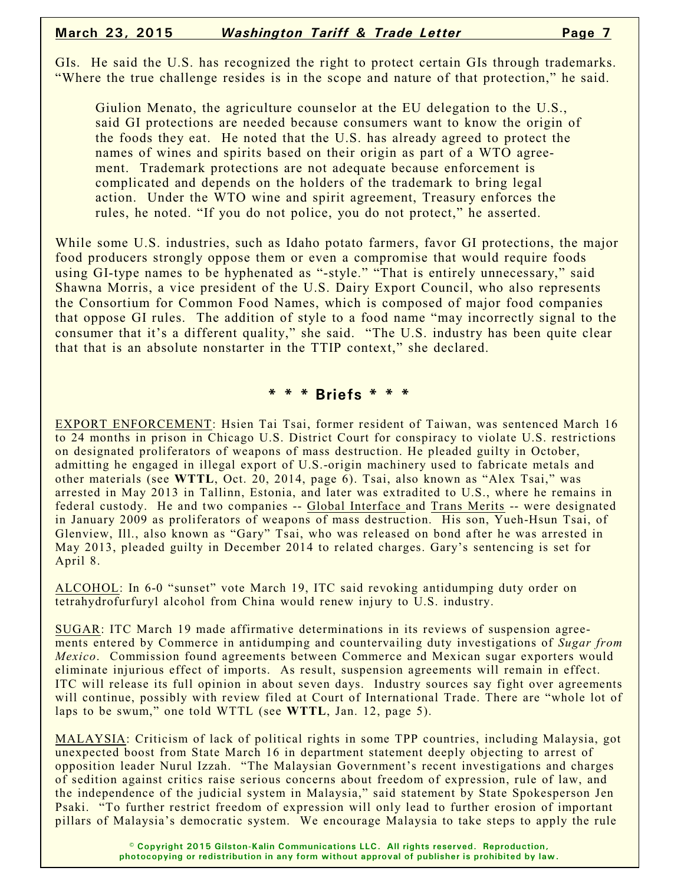GIs. He said the U.S. has recognized the right to protect certain GIs through trademarks. "Where the true challenge resides is in the scope and nature of that protection," he said.

Giulion Menato, the agriculture counselor at the EU delegation to the U.S., said GI protections are needed because consumers want to know the origin of the foods they eat. He noted that the U.S. has already agreed to protect the names of wines and spirits based on their origin as part of a WTO agreement. Trademark protections are not adequate because enforcement is complicated and depends on the holders of the trademark to bring legal action. Under the WTO wine and spirit agreement, Treasury enforces the rules, he noted. "If you do not police, you do not protect," he asserted.

While some U.S. industries, such as Idaho potato farmers, favor GI protections, the major food producers strongly oppose them or even a compromise that would require foods using GI-type names to be hyphenated as "-style." "That is entirely unnecessary," said Shawna Morris, a vice president of the U.S. Dairy Export Council, who also represents the Consortium for Common Food Names, which is composed of major food companies that oppose GI rules. The addition of style to a food name "may incorrectly signal to the consumer that it's a different quality," she said. "The U.S. industry has been quite clear that that is an absolute nonstarter in the TTIP context," she declared.

#### **\* \* \* Briefs \* \* \***

EXPORT ENFORCEMENT: Hsien Tai Tsai, former resident of Taiwan, was sentenced March 16 to 24 months in prison in Chicago U.S. District Court for conspiracy to violate U.S. restrictions on designated proliferators of weapons of mass destruction. He pleaded guilty in October, admitting he engaged in illegal export of U.S.-origin machinery used to fabricate metals and other materials (see **WTTL**, Oct. 20, 2014, page 6). Tsai, also known as "Alex Tsai," was arrested in May 2013 in Tallinn, Estonia, and later was extradited to U.S., where he remains in federal custody. He and two companies -- Global Interface and Trans Merits -- were designated in January 2009 as proliferators of weapons of mass destruction. His son, Yueh-Hsun Tsai, of Glenview, Ill., also known as "Gary" Tsai, who was released on bond after he was arrested in May 2013, pleaded guilty in December 2014 to related charges. Gary's sentencing is set for April 8.

ALCOHOL: In 6-0 "sunset" vote March 19, ITC said revoking antidumping duty order on tetrahydrofurfuryl alcohol from China would renew injury to U.S. industry.

SUGAR: ITC March 19 made affirmative determinations in its reviews of suspension agreements entered by Commerce in antidumping and countervailing duty investigations of *Sugar from Mexico*. Commission found agreements between Commerce and Mexican sugar exporters would eliminate injurious effect of imports. As result, suspension agreements will remain in effect. ITC will release its full opinion in about seven days. Industry sources say fight over agreements will continue, possibly with review filed at Court of International Trade. There are "whole lot of laps to be swum," one told WTTL (see **WTTL**, Jan. 12, page 5).

MALAYSIA: Criticism of lack of political rights in some TPP countries, including Malaysia, got unexpected boost from State March 16 in department statement deeply objecting to arrest of opposition leader Nurul Izzah. "The Malaysian Government's recent investigations and charges of sedition against critics raise serious concerns about freedom of expression, rule of law, and the independence of the judicial system in Malaysia," said statement by State Spokesperson Jen Psaki. "To further restrict freedom of expression will only lead to further erosion of important pillars of Malaysia's democratic system. We encourage Malaysia to take steps to apply the rule